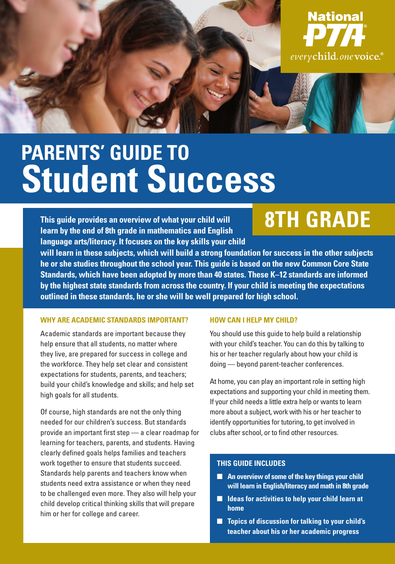

# **PARENTS' GUIDE TO Student Success**

**This guide provides an overview of what your child will learn by the end of 8th grade in mathematics and English language arts/literacy. It focuses on the key skills your child** 

# **8TH GRADE**

**will learn in these subjects, which will build a strong foundation for success in the other subjects he or she studies throughout the school year. This guide is based on the new Common Core State Standards, which have been adopted by more than 40 states. These K–12 standards are informed by the highest state standards from across the country. If your child is meeting the expectations outlined in these standards, he or she will be well prepared for high school.**

#### **WHY ARE ACADEMIC STANDARDS IMPORTANT?**

Academic standards are important because they help ensure that all students, no matter where they live, are prepared for success in college and the workforce. They help set clear and consistent expectations for students, parents, and teachers; build your child's knowledge and skills; and help set high goals for all students.

Of course, high standards are not the only thing needed for our children's success. But standards provide an important first step — a clear roadmap for learning for teachers, parents, and students. Having clearly defined goals helps families and teachers work together to ensure that students succeed. Standards help parents and teachers know when students need extra assistance or when they need to be challenged even more. They also will help your child develop critical thinking skills that will prepare him or her for college and career.

#### **HOW CAN I HELP MY CHILD?**

You should use this guide to help build a relationship with your child's teacher. You can do this by talking to his or her teacher regularly about how your child is doing — beyond parent-teacher conferences.

At home, you can play an important role in setting high expectations and supporting your child in meeting them. If your child needs a little extra help or wants to learn more about a subject, work with his or her teacher to identify opportunities for tutoring, to get involved in clubs after school, or to find other resources.

#### **THIS GUIDE INCLUDES**

- An overview of some of the key things your child **will learn in English/literacy and math in 8th grade**
- **Ideas for activities to help your child learn at home**
- **Topics of discussion for talking to your child's teacher about his or her academic progress**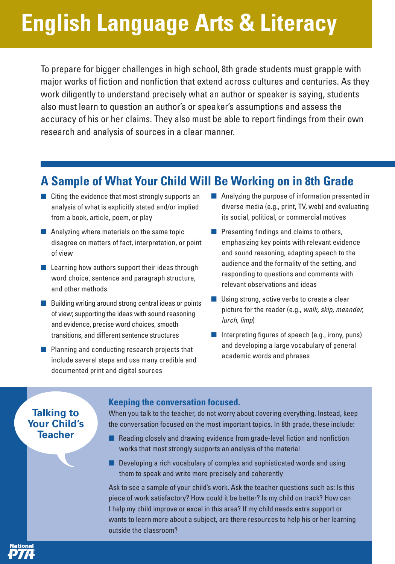# **English Language Arts & Literacy**

To prepare for bigger challenges in high school, 8th grade students must grapple with major works of fiction and nonfiction that extend across cultures and centuries. As they work diligently to understand precisely what an author or speaker is saying, students also must learn to question an author's or speaker's assumptions and assess the accuracy of his or her claims. They also must be able to report findings from their own research and analysis of sources in a clear manner.

### **A Sample of What Your Child Will Be Working on in 8th Grade**

- Citing the evidence that most strongly supports an analysis of what is explicitly stated and/or implied from a book, article, poem, or play
- Analyzing where materials on the same topic disagree on matters of fact, interpretation, or point of view
- Learning how authors support their ideas through word choice, sentence and paragraph structure, and other methods
- Building writing around strong central ideas or points of view; supporting the ideas with sound reasoning and evidence, precise word choices, smooth transitions, and different sentence structures
- Planning and conducting research projects that include several steps and use many credible and documented print and digital sources
- Analyzing the purpose of information presented in diverse media (e.g., print, TV, web) and evaluating its social, political, or commercial motives
- Presenting findings and claims to others, emphasizing key points with relevant evidence and sound reasoning, adapting speech to the audience and the formality of the setting, and responding to questions and comments with relevant observations and ideas
- Using strong, active verbs to create a clear picture for the reader (e.g., *walk, skip, meander, lurch, limp*)
- Interpreting figures of speech (e.g., irony, puns) and developing a large vocabulary of general academic words and phrases

### **Talking to Your Child's Teacher**

ational

#### **Keeping the conversation focused.**

When you talk to the teacher, do not worry about covering everything. Instead, keep the conversation focused on the most important topics. In 8th grade, these include:

- Reading closely and drawing evidence from grade-level fiction and nonfiction works that most strongly supports an analysis of the material
- Developing a rich vocabulary of complex and sophisticated words and using them to speak and write more precisely and coherently

Ask to see a sample of your child's work. Ask the teacher questions such as: Is this piece of work satisfactory? How could it be better? Is my child on track? How can I help my child improve or excel in this area? If my child needs extra support or wants to learn more about a subject, are there resources to help his or her learning outside the classroom?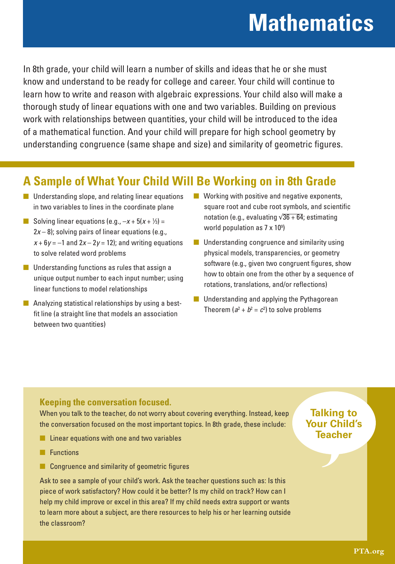# **Mathematics**

In 8th grade, your child will learn a number of skills and ideas that he or she must know and understand to be ready for college and career. Your child will continue to learn how to write and reason with algebraic expressions. Your child also will make a thorough study of linear equations with one and two variables. Building on previous work with relationships between quantities, your child will be introduced to the idea of a mathematical function. And your child will prepare for high school geometry by understanding congruence (same shape and size) and similarity of geometric figures.

## **A Sample of What Your Child Will Be Working on in 8th Grade**

- Understanding slope, and relating linear equations in two variables to lines in the coordinate plane
- **B** Solving linear equations (e.g.,  $-x + 5(x + \frac{1}{3}) =$  $2x - 8$ ); solving pairs of linear equations (e.g.,  $x + 6y = -1$  and  $2x - 2y = 12$ ; and writing equations to solve related word problems
- Understanding functions as rules that assign a unique output number to each input number; using linear functions to model relationships
- Analyzing statistical relationships by using a bestfit line (a straight line that models an association between two quantities)
- $\blacksquare$  Working with positive and negative exponents, square root and cube root symbols, and scientific notation (e.g., evaluating  $\sqrt{36 + 64}$ ; estimating world population as 7 x 109 )
- Understanding congruence and similarity using physical models, transparencies, or geometry software (e.g., given two congruent figures, show how to obtain one from the other by a sequence of rotations, translations, and/or reflections)
- Understanding and applying the Pythagorean Theorem ( $a^2 + b^2 = c^2$ ) to solve problems

### **Keeping the conversation focused.**

When you talk to the teacher, do not worry about covering everything. Instead, keep the conversation focused on the most important topics. In 8th grade, these include:

- Linear equations with one and two variables
- Functions
- Congruence and similarity of geometric figures

Ask to see a sample of your child's work. Ask the teacher questions such as: Is this piece of work satisfactory? How could it be better? Is my child on track? How can I help my child improve or excel in this area? If my child needs extra support or wants to learn more about a subject, are there resources to help his or her learning outside the classroom?

### **Talking to Your Child's Teacher**